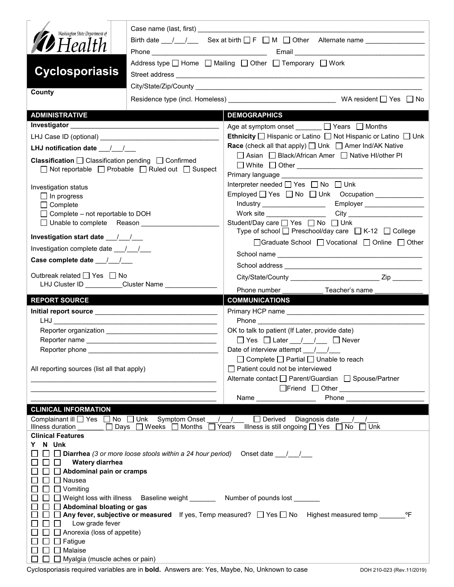| Washington State Department of<br><b>D</b> Health                                                                         | Birth date $1 \quad 1 \quad$ Sex at birth $\Box$ F $\Box$ M $\Box$ Other Alternate name<br>Address type $\Box$ Home $\Box$ Mailing $\Box$ Other $\Box$ Temporary $\Box$ Work |                                                                                                              |  |  |  |
|---------------------------------------------------------------------------------------------------------------------------|------------------------------------------------------------------------------------------------------------------------------------------------------------------------------|--------------------------------------------------------------------------------------------------------------|--|--|--|
| <b>Cyclosporiasis</b>                                                                                                     |                                                                                                                                                                              |                                                                                                              |  |  |  |
| County                                                                                                                    |                                                                                                                                                                              |                                                                                                              |  |  |  |
| <b>ADMINISTRATIVE</b>                                                                                                     |                                                                                                                                                                              | <b>DEMOGRAPHICS</b>                                                                                          |  |  |  |
|                                                                                                                           |                                                                                                                                                                              | Age at symptom onset ______ □ Years □ Months                                                                 |  |  |  |
|                                                                                                                           |                                                                                                                                                                              | <b>Ethnicity</b> $\Box$ Hispanic or Latino $\Box$ Not Hispanic or Latino $\Box$ Unk                          |  |  |  |
| LHJ notification date $\frac{1}{2}$                                                                                       |                                                                                                                                                                              | <b>Race</b> (check all that apply) $\Box$ Unk $\Box$ Amer Ind/AK Native                                      |  |  |  |
| <b>Classification</b> $\Box$ Classification pending $\Box$ Confirmed<br>□ Not reportable □ Probable □ Ruled out □ Suspect |                                                                                                                                                                              | △ Asian Black/African Amer Arative HI/other PI<br>□ White □ Other <u>___________________________________</u> |  |  |  |
|                                                                                                                           |                                                                                                                                                                              | Interpreter needed $\Box$ Yes $\Box$ No $\Box$ Unk                                                           |  |  |  |
| Investigation status<br>$\Box$ In progress                                                                                |                                                                                                                                                                              | Employed T Yes T No T Unk Occupation ___________                                                             |  |  |  |
| $\Box$ Complete                                                                                                           |                                                                                                                                                                              | Employer<br>Industry _____________________                                                                   |  |  |  |
| $\Box$ Complete – not reportable to DOH                                                                                   |                                                                                                                                                                              | Work site ___________________                                                                                |  |  |  |
| □ Unable to complete Reason __________                                                                                    |                                                                                                                                                                              | Student/Day care <sup>1</sup> Yes <sup>1</sup> No <sup>1</sup> Unk                                           |  |  |  |
|                                                                                                                           |                                                                                                                                                                              | Type of school □ Preschool/day care □ K-12 □ College<br>□ Graduate School □ Vocational □ Online □ Other      |  |  |  |
| Investigation complete date ___/___/___                                                                                   |                                                                                                                                                                              |                                                                                                              |  |  |  |
| Case complete date __/_/__/                                                                                               |                                                                                                                                                                              |                                                                                                              |  |  |  |
| Outbreak related □ Yes □ No<br>LHJ Cluster ID _________Cluster Name ____________                                          |                                                                                                                                                                              |                                                                                                              |  |  |  |
|                                                                                                                           |                                                                                                                                                                              | Phone number ______________Teacher's name _____                                                              |  |  |  |
|                                                                                                                           |                                                                                                                                                                              |                                                                                                              |  |  |  |
| <b>REPORT SOURCE</b>                                                                                                      |                                                                                                                                                                              | <b>COMMUNICATIONS</b>                                                                                        |  |  |  |
|                                                                                                                           |                                                                                                                                                                              |                                                                                                              |  |  |  |
|                                                                                                                           |                                                                                                                                                                              |                                                                                                              |  |  |  |
|                                                                                                                           |                                                                                                                                                                              | OK to talk to patient (If Later, provide date)                                                               |  |  |  |
|                                                                                                                           |                                                                                                                                                                              | $\Box$ Yes $\Box$ Later $\Box$ / $\Box$ Never                                                                |  |  |  |
| Reporter phone                                                                                                            |                                                                                                                                                                              | Date of interview attempt $\frac{1}{\sqrt{2}}$<br>$\Box$ Complete $\Box$ Partial $\Box$ Unable to reach      |  |  |  |
| All reporting sources (list all that apply)                                                                               |                                                                                                                                                                              | Patient could not be interviewed                                                                             |  |  |  |
|                                                                                                                           |                                                                                                                                                                              | Alternate contact □ Parent/Guardian □ Spouse/Partner                                                         |  |  |  |
|                                                                                                                           |                                                                                                                                                                              | $\Box$ Friend $\Box$ Other                                                                                   |  |  |  |
|                                                                                                                           |                                                                                                                                                                              | Name <b>Name</b>                                                                                             |  |  |  |
| <b>CLINICAL INFORMATION</b>                                                                                               |                                                                                                                                                                              |                                                                                                              |  |  |  |
| Complainant ill <u>on</u> Yes and No and Unk Symptom Onset                                                                |                                                                                                                                                                              | $\Box$ Derived Diagnosis date /                                                                              |  |  |  |
| Illness duration<br><b>Clinical Features</b>                                                                              | $\Box$ Days $\Box$ Weeks $\Box$ Months                                                                                                                                       | Illness is still ongoing $\Box$ Yes $\Box$ No<br>Unk<br>Years                                                |  |  |  |
| N Unk<br>Y.                                                                                                               |                                                                                                                                                                              |                                                                                                              |  |  |  |
|                                                                                                                           | $\Box$ Diarrhea (3 or more loose stools within a 24 hour period)                                                                                                             | Onset date $\frac{1}{\sqrt{1-\frac{1}{2}}}$                                                                  |  |  |  |
| <b>Watery diarrhea</b>                                                                                                    |                                                                                                                                                                              |                                                                                                              |  |  |  |
| Abdominal pain or cramps<br>□ Nausea                                                                                      |                                                                                                                                                                              |                                                                                                              |  |  |  |
| Vomiting                                                                                                                  |                                                                                                                                                                              |                                                                                                              |  |  |  |
|                                                                                                                           |                                                                                                                                                                              | Weight loss with illness Baseline weight ________ Number of pounds lost _______                              |  |  |  |
| Abdominal bloating or gas                                                                                                 |                                                                                                                                                                              | °F                                                                                                           |  |  |  |
| Low grade fever<br>$\blacksquare$                                                                                         |                                                                                                                                                                              | Any fever, subjective or measured If yes, Temp measured? $\Box$ Yes $\Box$ No Highest measured temp          |  |  |  |
| Anorexia (loss of appetite)                                                                                               |                                                                                                                                                                              |                                                                                                              |  |  |  |
| Fatigue<br>Malaise                                                                                                        |                                                                                                                                                                              |                                                                                                              |  |  |  |

Cyclosporiasis required variables are in **bold.** Answers are: Yes, Maybe, No, Unknown to case DOH 210-023 (Rev.11/2019)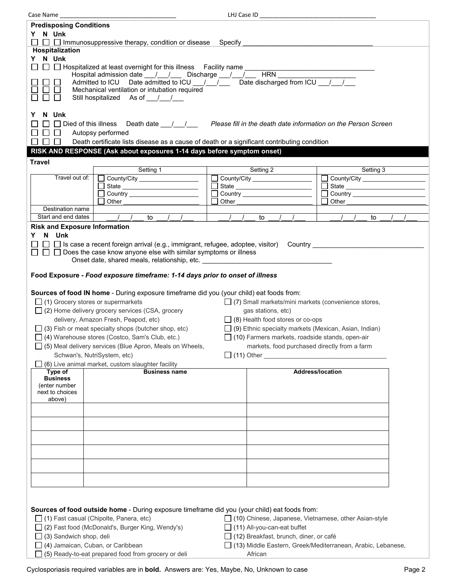Case Name \_\_\_\_\_\_\_\_\_\_\_\_\_\_\_\_\_\_\_\_\_\_\_\_\_\_\_\_\_\_\_\_\_\_\_ LHJ Case ID \_\_\_\_\_\_\_\_\_\_\_\_\_\_\_\_\_\_\_\_\_\_\_\_\_\_\_\_\_\_\_\_\_\_\_ **Predisposing Conditions Y N Unk**   $\Box$   $\Box$  Immunosuppressive therapy, condition or disease Specify **Hospitalization Y N Unk**  Hospitalized at least overnight for this illness Facility name \_\_\_\_\_\_\_\_\_\_\_\_\_\_\_\_\_\_\_\_\_\_\_\_\_\_\_\_\_\_\_\_\_\_\_ Hospital admission date \_\_\_/\_\_\_/\_\_\_\_ Discharge \_\_\_/\_\_\_/ \_\_\_\_\_ HRN \_\_\_\_\_\_\_\_\_\_\_\_\_\_\_<br>Admitted to ICU Date admitted to ICU / / Date discharged from ICU / /  $\Box$   $\Box$  Admitted to ICU Date  $\overline{\mathrm{admitted}}$  to ICU  $\Box$  $\square \square$  Mechanical ventilation or intubation required<br> $\square \square$  Still hospitalized As of / / Still hospitalized As of 1. **Y N Unk**  □ □ Died of this illness Death date / / / **Please fill in the death date information on the Person Screen**  $\Box$   $\Box$  Autopsy performed  $\Box$   $\Box$  Death certificate lists disease as a cause of death or a significant contributing condition **RISK AND RESPONSE (Ask about exposures 1-14 days before symptom onset) Travel** Setting 1 Setting 2 Setting 3 Travel out of:  $\Box$  County/City County/City \_\_\_\_\_\_\_\_\_\_\_\_\_\_\_\_\_\_ County/City  $\Box$  State  $\Box$  State  $\Box$  State  $\Box$  Country  $\Box$  Country П Country \_\_\_\_\_\_\_\_\_\_\_\_\_\_\_\_\_\_\_\_\_\_  $\Box$  Other  $\Box$  Other Other Destination name Start and end dates  $\begin{array}{cccccccc} | & | & | & \text{to} & | & | & \text{to} & | & | & \text{to} & | & | & \text{to} & | & \text{to} & | & \text{to} & | & \text{to} & | & \text{to} & | & \text{to} & | & \text{to} & | & \text{to} & | & \text{to} & | & \text{to} & | & \text{to} & | & \text{to} & | & \text{to} & | & \text{to} & | & \text{to} & | & \text{to} & | & \text{to} & | & \text{to} & | & \text{to} & | & \text{to$ **Risk and Exposure Information Y N Unk**   $\Box$   $\Box$  Is case a recent foreign arrival (e.g., immigrant, refugee, adoptee, visitor) Country  $\Box$  $\Box$   $\Box$   $\Box$  Does the case know anyone else with similar symptoms or illness Onset date, shared meals, relationship, etc. **Food Exposure -** *Food exposure timeframe: 1-14 days prior to onset of illness* **Sources of food IN home** - During exposure timeframe did you (your child) eat foods from:  $\Box$  (1) Grocery stores or supermarkets  $\Box$  (7) Small markets/mini markets (convenience stores,  $\Box$  (2) Home delivery grocery services (CSA, grocery gas stations, etc) delivery, Amazon Fresh, Peapod, etc)  $\Box$  (8) Health food stores or co-ops (3) Fish or meat specialty shops (butcher shop, etc)  $\Box$  (9) Ethnic specialty markets (Mexican, Asian, Indian) (4) Warehouse stores (Costco, Sam's Club, etc.) (10) Farmers markets, roadside stands, open-air  $\Box$  (5) Meal delivery services (Blue Apron, Meals on Wheels, markets, food purchased directly from a farm Schwan's, NutriSystem, etc)  $\Box$  (11) Other  $\Box$  $\Box$  (6) Live animal market, custom slaughter facility **Business name Address/location Type of Business** (enter number next to choices above) **Sources of food outside home** - During exposure timeframe did you (your child) eat foods from: (1) Fast casual (Chipolte, Panera, etc) (10) Chinese, Japanese, Vietnamese, other Asian-style (2) Fast food (McDonald's, Burger King, Wendy's) (11) All-you-can-eat buffet  $\Box$  (3) Sandwich shop, deli  $\Box$  (12) Breakfast, brunch, diner, or café (4) Jamaican, Cuban, or Caribbean (13) Middle Eastern, Greek/Mediterranean, Arabic, Lebanese,

 $\Box$  (5) Ready-to-eat prepared food from grocery or deli  $\Box$  African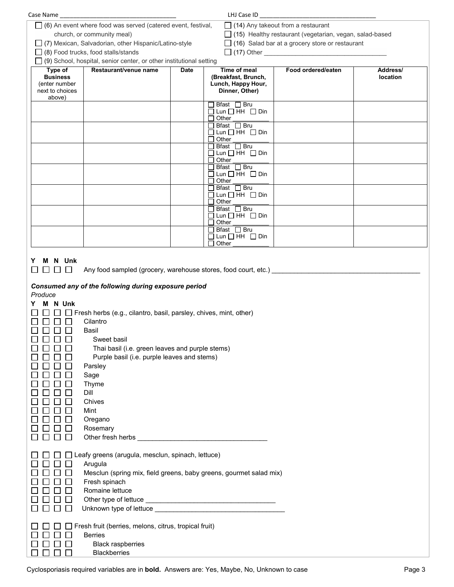| LHJ Case ID<br>Case Name                                                                                                            |             |                                                                |                    |                      |  |
|-------------------------------------------------------------------------------------------------------------------------------------|-------------|----------------------------------------------------------------|--------------------|----------------------|--|
| $\Box$ (6) An event where food was served (catered event, festival,<br>$\Box$ (14) Any takeout from a restaurant                    |             |                                                                |                    |                      |  |
| church, or community meal)                                                                                                          |             | $\Box$ (15) Healthy restaurant (vegetarian, vegan, salad-based |                    |                      |  |
| □ (7) Mexican, Salvadorian, other Hispanic/Latino-style                                                                             |             | $\Box$ (16) Salad bar at a grocery store or restaurant         |                    |                      |  |
| $\Box$ (8) Food trucks, food stalls/stands                                                                                          |             |                                                                | $\Box$ (17) Other  |                      |  |
| $\Box$ (9) School, hospital, senior center, or other institutional setting                                                          |             |                                                                |                    |                      |  |
| Restaurant/venue name<br>Type of<br><b>Business</b>                                                                                 | <b>Date</b> | Time of meal<br>(Breakfast, Brunch,                            | Food ordered/eaten | Address/<br>location |  |
| (enter number                                                                                                                       |             | Lunch, Happy Hour,                                             |                    |                      |  |
| next to choices<br>above)                                                                                                           |             | Dinner, Other)                                                 |                    |                      |  |
|                                                                                                                                     |             | $\Box$ Bfast $\Box$ Bru                                        |                    |                      |  |
|                                                                                                                                     |             | $\Box$ Lun $\Box$ HH $\Box$ Din<br>$\Box$ Other                |                    |                      |  |
|                                                                                                                                     |             | $\Box$ Bfast $\Box$ Bru                                        |                    |                      |  |
|                                                                                                                                     |             | $\Box$ Lun $\Box$ HH $\Box$ Din<br>$\Box$ Other                |                    |                      |  |
|                                                                                                                                     |             | $\Box$ Bfast $\Box$ Bru                                        |                    |                      |  |
|                                                                                                                                     |             | $\Box$ Lun $\Box$ HH $\Box$ Din                                |                    |                      |  |
|                                                                                                                                     |             | $\Box$ Other<br>$\Box$ Bfast $\Box$ Bru                        |                    |                      |  |
|                                                                                                                                     |             | $\Box$ Lun $\Box$ HH $\Box$ Din                                |                    |                      |  |
|                                                                                                                                     |             | $\Box$ Other<br>$\Box$ Bfast $\Box$ Bru                        |                    |                      |  |
|                                                                                                                                     |             | $\Box$ Lun $\Box$ HH $\Box$ Din                                |                    |                      |  |
|                                                                                                                                     |             | $\Box$ Other<br>$\Box$ Bfast $\Box$ Bru                        |                    |                      |  |
|                                                                                                                                     |             | $\Box$ Lun $\Box$ HH $\Box$ Din                                |                    |                      |  |
|                                                                                                                                     |             | $\Box$ Other                                                   |                    |                      |  |
|                                                                                                                                     |             | $\Box$ Bfast $\Box$ Bru<br>$\Box$ Lun $\Box$ HH $\Box$ Din     |                    |                      |  |
|                                                                                                                                     |             | Other                                                          |                    |                      |  |
|                                                                                                                                     |             |                                                                |                    |                      |  |
| N Unk<br>Y.<br>M<br>Any food sampled (grocery, warehouse stores, food court, etc.) __________________<br>$\Box$<br>$\Box$<br>$\Box$ |             |                                                                |                    |                      |  |
|                                                                                                                                     |             |                                                                |                    |                      |  |
| Consumed any of the following during exposure period                                                                                |             |                                                                |                    |                      |  |
| Produce                                                                                                                             |             |                                                                |                    |                      |  |
| M N Unk                                                                                                                             |             |                                                                |                    |                      |  |
| Fresh herbs (e.g., cilantro, basil, parsley, chives, mint, other)<br>$\Box$                                                         |             |                                                                |                    |                      |  |
| Cilantro                                                                                                                            |             |                                                                |                    |                      |  |
| Basil<br>Sweet basil                                                                                                                |             |                                                                |                    |                      |  |
| Thai basil (i.e. green leaves and purple stems)<br>×.                                                                               |             |                                                                |                    |                      |  |
| Purple basil (i.e. purple leaves and stems)                                                                                         |             |                                                                |                    |                      |  |
| Parsley                                                                                                                             |             |                                                                |                    |                      |  |
| Sage                                                                                                                                |             |                                                                |                    |                      |  |
| Thyme                                                                                                                               |             |                                                                |                    |                      |  |
| Dill                                                                                                                                |             |                                                                |                    |                      |  |
| Chives                                                                                                                              |             |                                                                |                    |                      |  |
| Mint                                                                                                                                |             |                                                                |                    |                      |  |
| Oregano<br>Rosemary                                                                                                                 |             |                                                                |                    |                      |  |
| L                                                                                                                                   |             |                                                                |                    |                      |  |
|                                                                                                                                     |             |                                                                |                    |                      |  |
| Leafy greens (arugula, mesclun, spinach, lettuce)<br>$\Box$                                                                         |             |                                                                |                    |                      |  |
| Arugula<br>$\mathbf{L}$                                                                                                             |             |                                                                |                    |                      |  |
| Mesclun (spring mix, field greens, baby greens, gourmet salad mix)                                                                  |             |                                                                |                    |                      |  |
| Fresh spinach                                                                                                                       |             |                                                                |                    |                      |  |
| Romaine lettuce                                                                                                                     |             |                                                                |                    |                      |  |
| $\mathbf{L}$                                                                                                                        |             |                                                                |                    |                      |  |
|                                                                                                                                     |             |                                                                |                    |                      |  |
| Fresh fruit (berries, melons, citrus, tropical fruit)<br>$\mathbf{I}$                                                               |             |                                                                |                    |                      |  |
| <b>Berries</b><br>$\mathbf{L}$                                                                                                      |             |                                                                |                    |                      |  |
| <b>Black raspberries</b>                                                                                                            |             |                                                                |                    |                      |  |
| <b>Blackberries</b>                                                                                                                 |             |                                                                |                    |                      |  |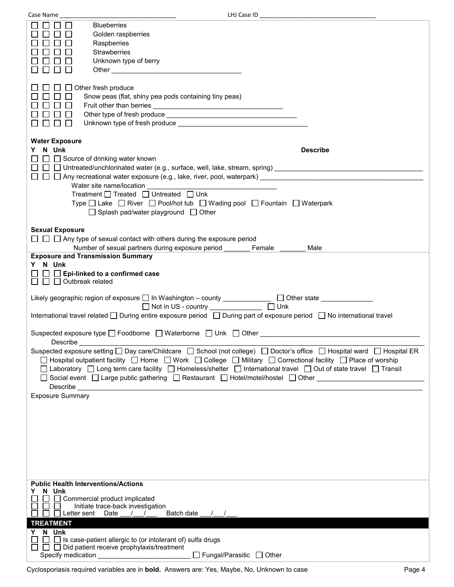| Case Name                                           |                                                                                                                                                                                                                                                                                                                                                        |                                                                                                                                                                                                                                                                                                                                               |
|-----------------------------------------------------|--------------------------------------------------------------------------------------------------------------------------------------------------------------------------------------------------------------------------------------------------------------------------------------------------------------------------------------------------------|-----------------------------------------------------------------------------------------------------------------------------------------------------------------------------------------------------------------------------------------------------------------------------------------------------------------------------------------------|
|                                                     | <b>Blueberries</b><br>Golden raspberries<br>Raspberries<br>Strawberries<br>Unknown type of berry                                                                                                                                                                                                                                                       |                                                                                                                                                                                                                                                                                                                                               |
|                                                     | Other experiences and the contract of the contract of the contract of the contract of the contract of the contract of the contract of the contract of the contract of the contract of the contract of the contract of the cont                                                                                                                         |                                                                                                                                                                                                                                                                                                                                               |
| $\mathbf{L}$                                        | $\Box$ Other fresh produce<br>Snow peas (flat, shiny pea pods containing tiny peas)                                                                                                                                                                                                                                                                    |                                                                                                                                                                                                                                                                                                                                               |
| <b>Water Exposure</b>                               |                                                                                                                                                                                                                                                                                                                                                        |                                                                                                                                                                                                                                                                                                                                               |
| N Unk                                               | $\Box$ Source of drinking water known                                                                                                                                                                                                                                                                                                                  | <b>Describe</b>                                                                                                                                                                                                                                                                                                                               |
|                                                     |                                                                                                                                                                                                                                                                                                                                                        | $\Box$ $\Box$ Any recreational water exposure (e.g., lake, river, pool, waterpark)                                                                                                                                                                                                                                                            |
|                                                     | Water site name/location                                                                                                                                                                                                                                                                                                                               |                                                                                                                                                                                                                                                                                                                                               |
|                                                     | Treatment $\Box$ Treated $\Box$ Untreated $\Box$ Unk<br>Type □ Lake □ River □ Pool/hot tub □ Wading pool □ Fountain □ Waterpark<br>$\Box$ Splash pad/water playground $\Box$ Other                                                                                                                                                                     |                                                                                                                                                                                                                                                                                                                                               |
| <b>Sexual Exposure</b>                              |                                                                                                                                                                                                                                                                                                                                                        |                                                                                                                                                                                                                                                                                                                                               |
|                                                     | $\Box$ $\Box$ Any type of sexual contact with others during the exposure period<br>Number of sexual partners during exposure period                                                                                                                                                                                                                    | Female<br>Male                                                                                                                                                                                                                                                                                                                                |
| <b>Exposure and Transmission Summary</b><br>Y N Unk |                                                                                                                                                                                                                                                                                                                                                        |                                                                                                                                                                                                                                                                                                                                               |
|                                                     | $\Box$ Epi-linked to a confirmed case                                                                                                                                                                                                                                                                                                                  |                                                                                                                                                                                                                                                                                                                                               |
| $\Box$ $\Box$ Outbreak related                      |                                                                                                                                                                                                                                                                                                                                                        |                                                                                                                                                                                                                                                                                                                                               |
|                                                     | Likely geographic region of exposure □ In Washington - county _____________ □ Other state _____________<br>Not in US - country _____________                                                                                                                                                                                                           | $\Box$ Unk                                                                                                                                                                                                                                                                                                                                    |
|                                                     |                                                                                                                                                                                                                                                                                                                                                        | International travel related □ During entire exposure period □ During part of exposure period □ No international travel                                                                                                                                                                                                                       |
|                                                     | Suspected exposure type $\square$ Foodborne $\square$ Waterborne $\square$ Unk $\square$ Other                                                                                                                                                                                                                                                         |                                                                                                                                                                                                                                                                                                                                               |
| Describe                                            |                                                                                                                                                                                                                                                                                                                                                        | Suspected exposure setting □ Day care/Childcare □ School (not college) □ Doctor's office □ Hospital ward □ Hospital ER                                                                                                                                                                                                                        |
|                                                     |                                                                                                                                                                                                                                                                                                                                                        | □ Hospital outpatient facility □ Home □ Work □ College □ Military □ Correctional facility □ Place of worship<br>□ Laboratory □ Long term care facility □ Homeless/shelter □ International travel □ Out of state travel □ Transit<br>□ Social event □ Large public gathering □ Restaurant □ Hotel/motel/hostel □ Other _______________________ |
| Exposure Summary                                    |                                                                                                                                                                                                                                                                                                                                                        |                                                                                                                                                                                                                                                                                                                                               |
|                                                     |                                                                                                                                                                                                                                                                                                                                                        |                                                                                                                                                                                                                                                                                                                                               |
|                                                     |                                                                                                                                                                                                                                                                                                                                                        |                                                                                                                                                                                                                                                                                                                                               |
|                                                     |                                                                                                                                                                                                                                                                                                                                                        |                                                                                                                                                                                                                                                                                                                                               |
|                                                     |                                                                                                                                                                                                                                                                                                                                                        |                                                                                                                                                                                                                                                                                                                                               |
|                                                     |                                                                                                                                                                                                                                                                                                                                                        |                                                                                                                                                                                                                                                                                                                                               |
| <b>Public Health Interventions/Actions</b>          |                                                                                                                                                                                                                                                                                                                                                        |                                                                                                                                                                                                                                                                                                                                               |
| N Unk                                               | Commercial product implicated                                                                                                                                                                                                                                                                                                                          |                                                                                                                                                                                                                                                                                                                                               |
| $\Box$ Letter sent Date                             | Initiate trace-back investigation<br>Batch date<br>$\frac{1}{2}$                                                                                                                                                                                                                                                                                       |                                                                                                                                                                                                                                                                                                                                               |
| <b>TREATMENT</b>                                    |                                                                                                                                                                                                                                                                                                                                                        |                                                                                                                                                                                                                                                                                                                                               |
| Y N Unk                                             | $\Box$ Is case-patient allergic to (or intolerant of) sulfa drugs                                                                                                                                                                                                                                                                                      |                                                                                                                                                                                                                                                                                                                                               |
|                                                     | $\Box$ $\Box$ Did patient receive prophylaxis/treatment<br>Specify medication<br><u>Specify</u> medication<br>Specify medication<br>Specify medication<br>Specify medication<br>Specify medication<br>Specify medication<br>Specify medication<br>Specify the specify of the specify of the specify of the spe<br>$\Box$ Fungal/Parasitic $\Box$ Other |                                                                                                                                                                                                                                                                                                                                               |